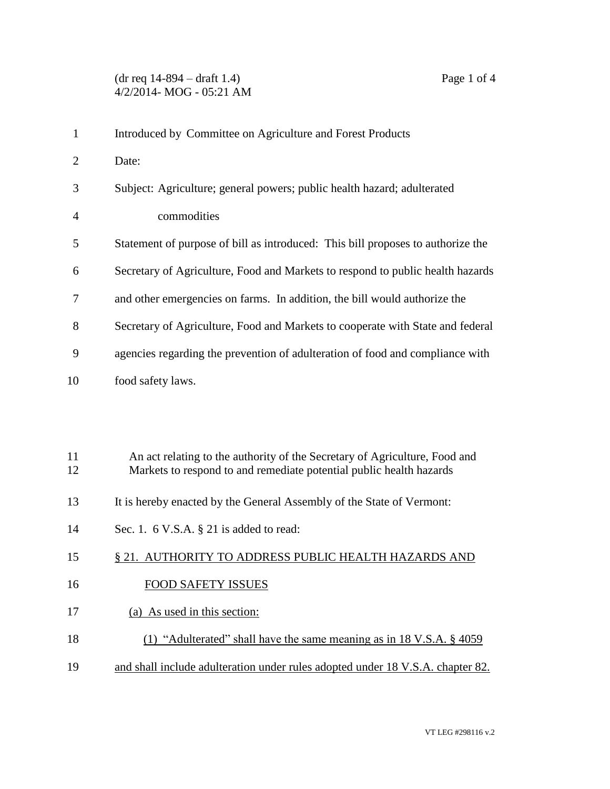| $\mathbf{1}$   | Introduced by Committee on Agriculture and Forest Products                      |
|----------------|---------------------------------------------------------------------------------|
| $\overline{2}$ | Date:                                                                           |
| 3              | Subject: Agriculture; general powers; public health hazard; adulterated         |
| 4              | commodities                                                                     |
| 5              | Statement of purpose of bill as introduced: This bill proposes to authorize the |
| 6              | Secretary of Agriculture, Food and Markets to respond to public health hazards  |
| 7              | and other emergencies on farms. In addition, the bill would authorize the       |
| 8              | Secretary of Agriculture, Food and Markets to cooperate with State and federal  |
| 9              | agencies regarding the prevention of adulteration of food and compliance with   |
| 10             | food safety laws.                                                               |
|                |                                                                                 |
|                |                                                                                 |
| 11             | An act relating to the authority of the Secretary of Agriculture, Food and      |
| 12             | Markets to respond to and remediate potential public health hazards             |
| 13             | It is hereby enacted by the General Assembly of the State of Vermont:           |
| 14             | Sec. 1. $6$ V.S.A. $\S$ 21 is added to read:                                    |
| 15             | § 21. AUTHORITY TO ADDRESS PUBLIC HEALTH HAZARDS AND                            |
| 16             | <b>FOOD SAFETY ISSUES</b>                                                       |

- 17 (a) As used in this section:
- 18 (1) "Adulterated" shall have the same meaning as in 18 V.S.A. § 4059
- 19 and shall include adulteration under rules adopted under 18 V.S.A. chapter 82.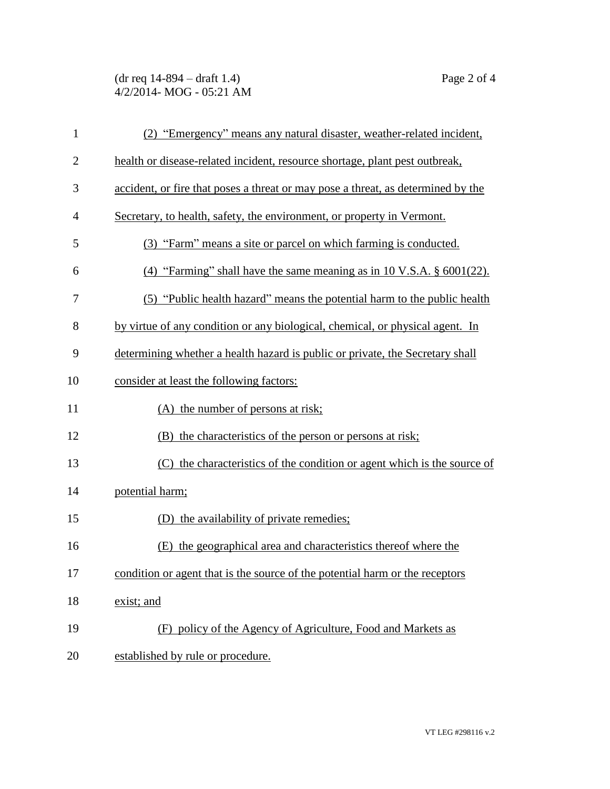## (dr req 14-894 – draft 1.4) Page 2 of 4 4/2/2014- MOG - 05:21 AM

| $\mathbf{1}$   | (2) "Emergency" means any natural disaster, weather-related incident,            |
|----------------|----------------------------------------------------------------------------------|
| $\overline{2}$ | health or disease-related incident, resource shortage, plant pest outbreak,      |
| 3              | accident, or fire that poses a threat or may pose a threat, as determined by the |
| $\overline{4}$ | Secretary, to health, safety, the environment, or property in Vermont.           |
| 5              | (3) "Farm" means a site or parcel on which farming is conducted.                 |
| 6              | (4) "Farming" shall have the same meaning as in 10 V.S.A. $\S$ 6001(22).         |
| 7              | (5) "Public health hazard" means the potential harm to the public health         |
| 8              | by virtue of any condition or any biological, chemical, or physical agent. In    |
| 9              | determining whether a health hazard is public or private, the Secretary shall    |
| 10             | consider at least the following factors:                                         |
| 11             | (A) the number of persons at risk;                                               |
| 12             | (B) the characteristics of the person or persons at risk;                        |
| 13             | (C) the characteristics of the condition or agent which is the source of         |
| 14             | potential harm;                                                                  |
| 15             | (D) the availability of private remedies;                                        |
| 16             | the geographical area and characteristics thereof where the<br>(E)               |
| 17             | condition or agent that is the source of the potential harm or the receptors     |
| 18             | exist; and                                                                       |
| 19             | (F) policy of the Agency of Agriculture, Food and Markets as                     |
| 20             | established by rule or procedure.                                                |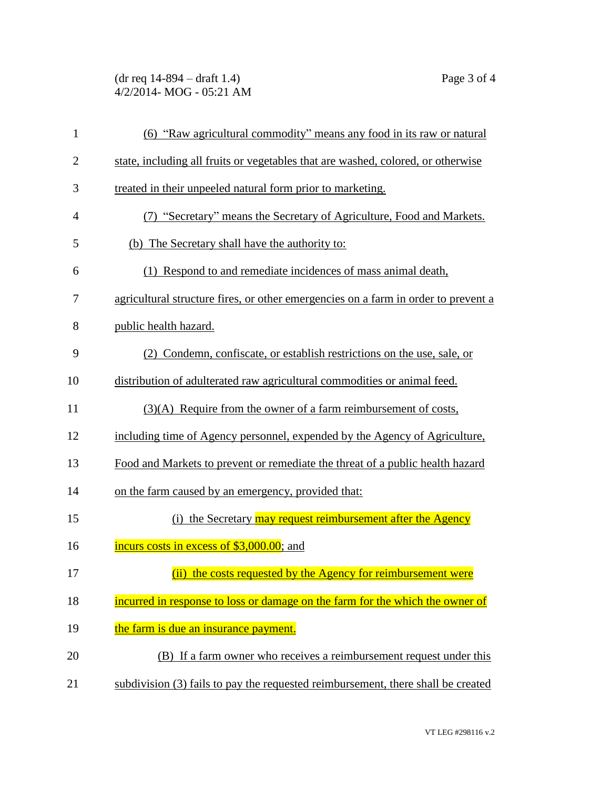(dr req 14-894 – draft 1.4) Page 3 of 4 4/2/2014- MOG - 05:21 AM

| $\mathbf{1}$   | (6) "Raw agricultural commodity" means any food in its raw or natural              |
|----------------|------------------------------------------------------------------------------------|
| $\overline{2}$ | state, including all fruits or vegetables that are washed, colored, or otherwise   |
| 3              | treated in their unpeeled natural form prior to marketing.                         |
| $\overline{4}$ | (7) "Secretary" means the Secretary of Agriculture, Food and Markets.              |
| 5              | (b) The Secretary shall have the authority to:                                     |
| 6              | (1) Respond to and remediate incidences of mass animal death,                      |
| 7              | agricultural structure fires, or other emergencies on a farm in order to prevent a |
| 8              | public health hazard.                                                              |
| 9              | (2) Condemn, confiscate, or establish restrictions on the use, sale, or            |
| 10             | distribution of adulterated raw agricultural commodities or animal feed.           |
| 11             | $(3)(A)$ Require from the owner of a farm reimbursement of costs,                  |
| 12             | including time of Agency personnel, expended by the Agency of Agriculture,         |
| 13             | Food and Markets to prevent or remediate the threat of a public health hazard      |
| 14             | on the farm caused by an emergency, provided that:                                 |
| 15             | (i) the Secretary may request reimbursement after the Agency                       |
| 16             | incurs costs in excess of \$3,000.00; and                                          |
| 17             | (ii) the costs requested by the Agency for reimbursement were                      |
| 18             | incurred in response to loss or damage on the farm for the which the owner of      |
| 19             | the farm is due an insurance payment.                                              |
| 20             | (B) If a farm owner who receives a reimbursement request under this                |
| 21             | subdivision (3) fails to pay the requested reimbursement, there shall be created   |
|                |                                                                                    |